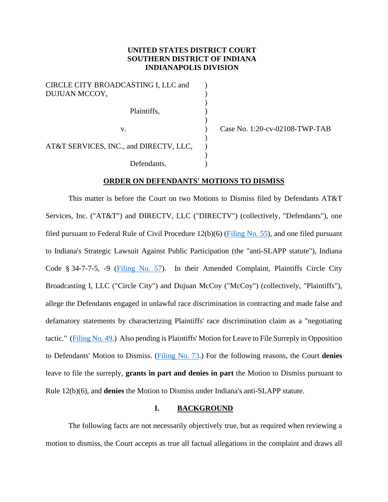# **UNITED STATES DISTRICT COURT SOUTHERN DISTRICT OF INDIANA INDIANAPOLIS DIVISION**

)

)

)

)

CIRCLE CITY BROADCASTING I, LLC and DUJUAN MCCOY, ) Plaintiffs, (1) AT&T SERVICES, INC., and DIRECTV, LLC, Defendants.

v. ) Case No. 1:20-cv-02108-TWP-TAB

## **ORDER ON DEFENDANTS' MOTIONS TO DISMISS**

This matter is before the Court on two Motions to Dismiss filed by Defendants AT&T Services, Inc. ("AT&T") and DIRECTV, LLC ("DIRECTV") (collectively, "Defendants"), one filed pursuant to Federal Rule of Civil Procedure 12(b)(6) [\(Filing No. 55\)](https://ecf.insd.uscourts.gov/doc1/07318489936), and one filed pursuant to Indiana's Strategic Lawsuit Against Public Participation (the "anti-SLAPP statute"), Indiana Code § 34-7-7-5, -9 [\(Filing No. 57\)](https://ecf.insd.uscourts.gov/doc1/07318490205). In their Amended Complaint, Plaintiffs Circle City Broadcasting I, LLC ("Circle City") and Dujuan McCoy ("McCoy") (collectively, "Plaintiffs"), allege the Defendants engaged in unlawful race discrimination in contracting and made false and defamatory statements by characterizing Plaintiffs' race discrimination claim as a "negotiating tactic." [\(Filing No. 49.](https://ecf.insd.uscourts.gov/doc1/07318431707)) Also pending is Plaintiffs' Motion for Leave to File Surreply in Opposition to Defendants' Motion to Dismiss. [\(Filing No. 73.](https://ecf.insd.uscourts.gov/doc1/07318585240)) For the following reasons, the Court **denies** leave to file the surreply, **grants in part and denies in part** the Motion to Dismiss pursuant to Rule 12(b)(6), and **denies** the Motion to Dismiss under Indiana's anti-SLAPP statute.

## **I. BACKGROUND**

The following facts are not necessarily objectively true, but as required when reviewing a motion to dismiss, the Court accepts as true all factual allegations in the complaint and draws all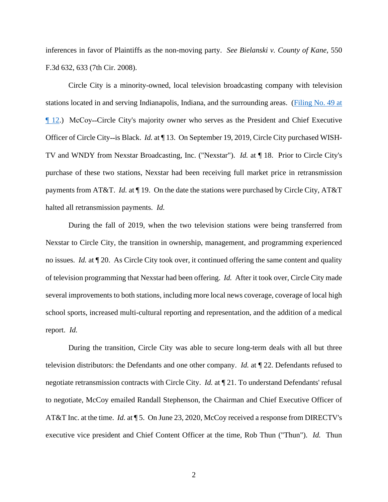inferences in favor of Plaintiffs as the non-moving party. *See Bielanski v. County of Kane*, 550 F.3d 632, 633 (7th Cir. 2008).

Circle City is a minority-owned, local television broadcasting company with television stations located in and serving Indianapolis, Indiana, and the surrounding areas. [\(Filing No. 49 at](https://ecf.insd.uscourts.gov/doc1/07318431707?page=12)  [¶ 12.](https://ecf.insd.uscourts.gov/doc1/07318431707?page=12)) McCoy˗˗Circle City's majority owner who serves as the President and Chief Executive Officer of Circle City-is Black. *Id.* at ¶ 13. On September 19, 2019, Circle City purchased WISH-TV and WNDY from Nexstar Broadcasting, Inc. ("Nexstar"). *Id.* at ¶ 18. Prior to Circle City's purchase of these two stations, Nexstar had been receiving full market price in retransmission payments from AT&T. *Id.* at ¶ 19. On the date the stations were purchased by Circle City, AT&T halted all retransmission payments. *Id.*

During the fall of 2019, when the two television stations were being transferred from Nexstar to Circle City, the transition in ownership, management, and programming experienced no issues. *Id.* at ¶ 20. As Circle City took over, it continued offering the same content and quality of television programming that Nexstar had been offering. *Id.* After it took over, Circle City made several improvements to both stations, including more local news coverage, coverage of local high school sports, increased multi-cultural reporting and representation, and the addition of a medical report. *Id.*

During the transition, Circle City was able to secure long-term deals with all but three television distributors: the Defendants and one other company. *Id.* at ¶ 22. Defendants refused to negotiate retransmission contracts with Circle City. *Id.* at ¶ 21. To understand Defendants' refusal to negotiate, McCoy emailed Randall Stephenson, the Chairman and Chief Executive Officer of AT&T Inc. at the time. *Id.* at ¶ 5. On June 23, 2020, McCoy received a response from DIRECTV's executive vice president and Chief Content Officer at the time, Rob Thun ("Thun"). *Id.* Thun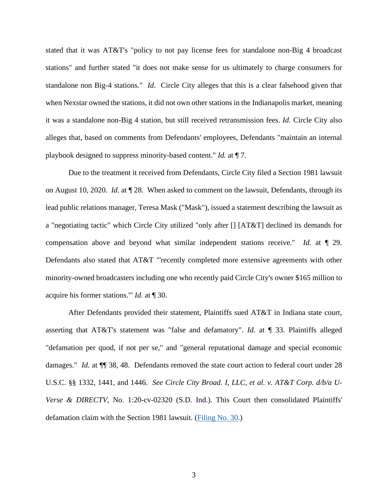stated that it was AT&T's "policy to not pay license fees for standalone non-Big 4 broadcast stations" and further stated "it does not make sense for us ultimately to charge consumers for standalone non Big-4 stations." *Id.* Circle City alleges that this is a clear falsehood given that when Nexstar owned the stations, it did not own other stations in the Indianapolis market, meaning it was a standalone non-Big 4 station, but still received retransmission fees. *Id.* Circle City also alleges that, based on comments from Defendants' employees, Defendants "maintain an internal playbook designed to suppress minority-based content." *Id.* at ¶ 7.

Due to the treatment it received from Defendants, Circle City filed a Section 1981 lawsuit on August 10, 2020. *Id.* at ¶ 28. When asked to comment on the lawsuit, Defendants, through its lead public relations manager, Teresa Mask ("Mask"), issued a statement describing the lawsuit as a "negotiating tactic" which Circle City utilized "only after [] [AT&T] declined its demands for compensation above and beyond what similar independent stations receive." *Id.* at ¶ 29. Defendants also stated that AT&T "'recently completed more extensive agreements with other minority-owned broadcasters including one who recently paid Circle City's owner \$165 million to acquire his former stations.'" *Id.* at ¶ 30.

After Defendants provided their statement, Plaintiffs sued AT&T in Indiana state court, asserting that AT&T's statement was "false and defamatory". *Id.* at ¶ 33. Plaintiffs alleged "defamation per quod, if not per se," and "general reputational damage and special economic damages." *Id.* at  $\P$  38, 48. Defendants removed the state court action to federal court under 28 U.S.C. §§ 1332, 1441, and 1446. *See Circle City Broad. I, LLC, et al. v. AT&T Corp. d/b/a U-Verse & DIRECTV*, No. 1:20-cv-02320 (S.D. Ind.). This Court then consolidated Plaintiffs' defamation claim with the Section 1981 lawsuit. [\(Filing No. 30.](https://ecf.insd.uscourts.gov/doc1/07318237903))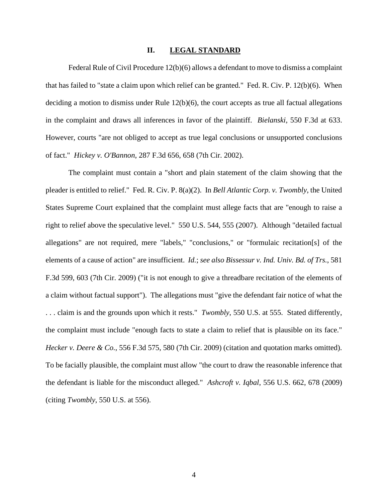#### **II. LEGAL STANDARD**

Federal Rule of Civil Procedure 12(b)(6) allows a defendant to move to dismiss a complaint that has failed to "state a claim upon which relief can be granted." Fed. R. Civ. P. 12(b)(6). When deciding a motion to dismiss under Rule 12(b)(6), the court accepts as true all factual allegations in the complaint and draws all inferences in favor of the plaintiff. *Bielanski*, 550 F.3d at 633. However, courts "are not obliged to accept as true legal conclusions or unsupported conclusions of fact." *Hickey v. O'Bannon*, 287 F.3d 656, 658 (7th Cir. 2002).

The complaint must contain a "short and plain statement of the claim showing that the pleader is entitled to relief." Fed. R. Civ. P. 8(a)(2). In *Bell Atlantic Corp. v. Twombly*, the United States Supreme Court explained that the complaint must allege facts that are "enough to raise a right to relief above the speculative level." 550 U.S. 544, 555 (2007). Although "detailed factual allegations" are not required, mere "labels," "conclusions," or "formulaic recitation[s] of the elements of a cause of action" are insufficient. *Id.*; *see also Bissessur v. Ind. Univ. Bd. of Trs.*, 581 F.3d 599, 603 (7th Cir. 2009) ("it is not enough to give a threadbare recitation of the elements of a claim without factual support"). The allegations must "give the defendant fair notice of what the . . . claim is and the grounds upon which it rests." *Twombly*, 550 U.S. at 555. Stated differently, the complaint must include "enough facts to state a claim to relief that is plausible on its face." *Hecker v. Deere & Co.*, 556 F.3d 575, 580 (7th Cir. 2009) (citation and quotation marks omitted). To be facially plausible, the complaint must allow "the court to draw the reasonable inference that the defendant is liable for the misconduct alleged." *Ashcroft v. Iqbal*, 556 U.S. 662, 678 (2009) (citing *Twombly*, 550 U.S. at 556).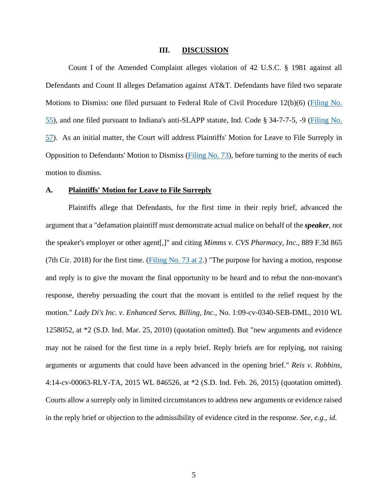#### **III. DISCUSSION**

Count I of the Amended Complaint alleges violation of 42 U.S.C. § 1981 against all Defendants and Count II alleges Defamation against AT&T. Defendants have filed two separate Motions to Dismiss: one filed pursuant to Federal Rule of Civil Procedure 12(b)(6) [\(Filing No.](https://ecf.insd.uscourts.gov/doc1/07318489936)  [55\)](https://ecf.insd.uscourts.gov/doc1/07318489936), and one filed pursuant to Indiana's anti-SLAPP statute, Ind. Code § 34-7-7-5, -9 [\(Filing No.](https://ecf.insd.uscourts.gov/doc1/07318490205)  [57\)](https://ecf.insd.uscourts.gov/doc1/07318490205). As an initial matter, the Court will address Plaintiffs' Motion for Leave to File Surreply in Opposition to Defendants' Motion to Dismiss [\(Filing No. 73\)](https://ecf.insd.uscourts.gov/doc1/07318585240), before turning to the merits of each motion to dismiss.

## **A. Plaintiffs' Motion for Leave to File Surreply**

Plaintiffs allege that Defendants, for the first time in their reply brief, advanced the argument that a "defamation plaintiff must demonstrate actual malice on behalf of the *speaker*, not the speaker's employer or other agent[,]" and citing *Mimms v. CVS Pharmacy, Inc.*, 889 F.3d 865 (7th Cir. 2018) for the first time. [\(Filing No. 73 at 2.](https://ecf.insd.uscourts.gov/doc1/07318585240?page=2)) "The purpose for having a motion, response and reply is to give the movant the final opportunity to be heard and to rebut the non-movant's response, thereby persuading the court that the movant is entitled to the relief request by the motion." *Lady Di's Inc. v. Enhanced Servs. Billing, Inc.*, No. 1:09-cv-0340-SEB-DML, 2010 WL 1258052, at \*2 (S.D. Ind. Mar. 25, 2010) (quotation omitted). But "new arguments and evidence may not be raised for the first time in a reply brief. Reply briefs are for replying, not raising arguments or arguments that could have been advanced in the opening brief." *Reis v. Robbins*, 4:14-cv-00063-RLY-TA, 2015 WL 846526, at \*2 (S.D. Ind. Feb. 26, 2015) (quotation omitted). Courts allow a surreply only in limited circumstances to address new arguments or evidence raised in the reply brief or objection to the admissibility of evidence cited in the response. *See, e.g., id.*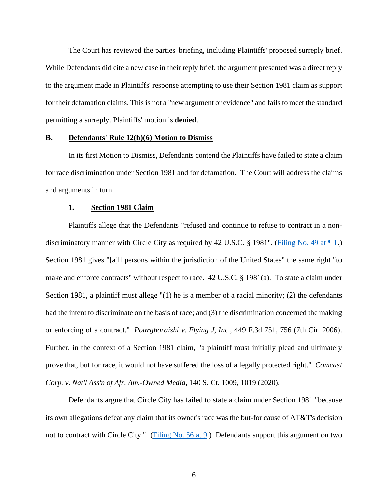The Court has reviewed the parties' briefing, including Plaintiffs' proposed surreply brief. While Defendants did cite a new case in their reply brief, the argument presented was a direct reply to the argument made in Plaintiffs' response attempting to use their Section 1981 claim as support for their defamation claims. This is not a "new argument or evidence" and fails to meet the standard permitting a surreply. Plaintiffs' motion is **denied**.

## **B. Defendants' Rule 12(b)(6) Motion to Dismiss**

In its first Motion to Dismiss, Defendants contend the Plaintiffs have failed to state a claim for race discrimination under Section 1981 and for defamation. The Court will address the claims and arguments in turn.

### **1. Section 1981 Claim**

Plaintiffs allege that the Defendants "refused and continue to refuse to contract in a nondiscriminatory manner with Circle City as required by 42 U.S.C. § 1981". (Filing No. 49 at  $\P$  1.) Section 1981 gives "[a]ll persons within the jurisdiction of the United States" the same right "to make and enforce contracts" without respect to race. 42 U.S.C. § 1981(a). To state a claim under Section 1981, a plaintiff must allege "(1) he is a member of a racial minority; (2) the defendants had the intent to discriminate on the basis of race; and (3) the discrimination concerned the making or enforcing of a contract." *Pourghoraishi v. Flying J, Inc.*, 449 F.3d 751, 756 (7th Cir. 2006). Further, in the context of a Section 1981 claim, "a plaintiff must initially plead and ultimately prove that, but for race, it would not have suffered the loss of a legally protected right." *Comcast Corp. v. Nat'l Ass'n of Afr. Am.-Owned Media*, 140 S. Ct. 1009, 1019 (2020).

Defendants argue that Circle City has failed to state a claim under Section 1981 "because its own allegations defeat any claim that its owner's race was the but-for cause of AT&T's decision not to contract with Circle City." (Filing No. 56 at  $9$ .) Defendants support this argument on two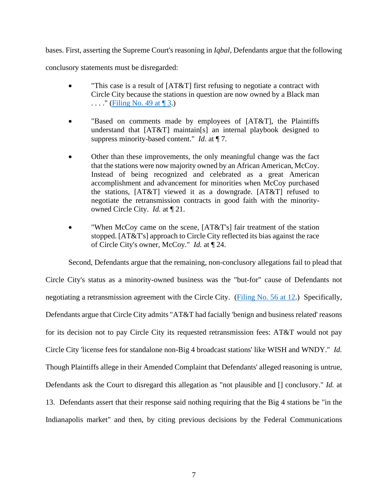bases. First, asserting the Supreme Court's reasoning in *Iqbal*, Defendants argue that the following

conclusory statements must be disregarded:

- "This case is a result of [AT&T] first refusing to negotiate a contract with Circle City because the stations in question are now owned by a Black man  $\ldots$ ." (Filing No. 49 at  $\P$  3.)
- "Based on comments made by employees of [AT&T], the Plaintiffs understand that [AT&T] maintain[s] an internal playbook designed to suppress minority-based content." *Id.* at ¶ 7.
- Other than these improvements, the only meaningful change was the fact that the stations were now majority owned by an African American, McCoy. Instead of being recognized and celebrated as a great American accomplishment and advancement for minorities when McCoy purchased the stations, [AT&T] viewed it as a downgrade. [AT&T] refused to negotiate the retransmission contracts in good faith with the minorityowned Circle City. *Id.* at ¶ 21.
- "When McCoy came on the scene, [AT&T's] fair treatment of the station stopped. [AT&T's] approach to Circle City reflected its bias against the race of Circle City's owner, McCoy." *Id.* at ¶ 24.

Second, Defendants argue that the remaining, non-conclusory allegations fail to plead that

Circle City's status as a minority-owned business was the "but-for" cause of Defendants not negotiating a retransmission agreement with the Circle City. [\(Filing No. 56 at 12.](https://ecf.insd.uscourts.gov/doc1/07318489948?page=12)) Specifically, Defendants argue that Circle City admits "AT&T had facially 'benign and business related' reasons for its decision not to pay Circle City its requested retransmission fees: AT&T would not pay Circle City 'license fees for standalone non-Big 4 broadcast stations' like WISH and WNDY." *Id.* Though Plaintiffs allege in their Amended Complaint that Defendants' alleged reasoning is untrue, Defendants ask the Court to disregard this allegation as "not plausible and [] conclusory." *Id.* at 13. Defendants assert that their response said nothing requiring that the Big 4 stations be "in the Indianapolis market" and then, by citing previous decisions by the Federal Communications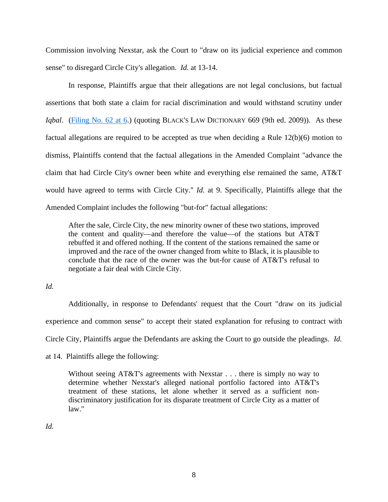Commission involving Nexstar, ask the Court to "draw on its judicial experience and common sense" to disregard Circle City's allegation. *Id.* at 13-14.

In response, Plaintiffs argue that their allegations are not legal conclusions, but factual assertions that both state a claim for racial discrimination and would withstand scrutiny under *Iqbal.* [\(Filing No. 62 at 6.](https://ecf.insd.uscourts.gov/doc1/07318532544?page=6)) (quoting BLACK's LAW DICTIONARY 669 (9th ed. 2009)). As these factual allegations are required to be accepted as true when deciding a Rule 12(b)(6) motion to dismiss, Plaintiffs contend that the factual allegations in the Amended Complaint "advance the claim that had Circle City's owner been white and everything else remained the same, AT&T would have agreed to terms with Circle City." *Id.* at 9. Specifically, Plaintiffs allege that the Amended Complaint includes the following "but-for" factual allegations:

After the sale, Circle City, the new minority owner of these two stations, improved the content and quality—and therefore the value—of the stations but AT&T rebuffed it and offered nothing. If the content of the stations remained the same or improved and the race of the owner changed from white to Black, it is plausible to conclude that the race of the owner was the but-for cause of AT&T's refusal to negotiate a fair deal with Circle City.

*Id.*

Additionally, in response to Defendants' request that the Court "draw on its judicial experience and common sense" to accept their stated explanation for refusing to contract with Circle City, Plaintiffs argue the Defendants are asking the Court to go outside the pleadings. *Id.*

at 14. Plaintiffs allege the following:

Without seeing AT&T's agreements with Nexstar . . . there is simply no way to determine whether Nexstar's alleged national portfolio factored into AT&T's treatment of these stations, let alone whether it served as a sufficient nondiscriminatory justification for its disparate treatment of Circle City as a matter of law."

*Id.*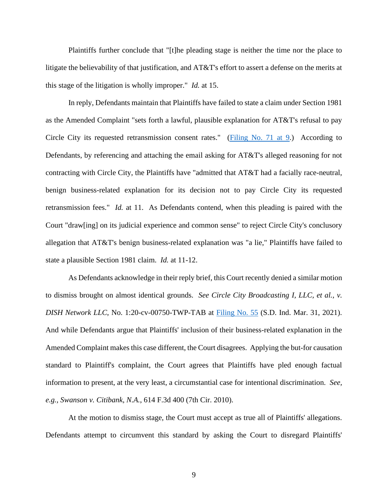Plaintiffs further conclude that "[t]he pleading stage is neither the time nor the place to litigate the believability of that justification, and AT&T's effort to assert a defense on the merits at this stage of the litigation is wholly improper." *Id.* at 15.

In reply, Defendants maintain that Plaintiffs have failed to state a claim under Section 1981 as the Amended Complaint "sets forth a lawful, plausible explanation for AT&T's refusal to pay Circle City its requested retransmission consent rates." [\(Filing No. 71 at 9.](https://ecf.insd.uscourts.gov/doc1/07318573593?page=9)) According to Defendants, by referencing and attaching the email asking for AT&T's alleged reasoning for not contracting with Circle City, the Plaintiffs have "admitted that AT&T had a facially race-neutral, benign business-related explanation for its decision not to pay Circle City its requested retransmission fees." *Id.* at 11. As Defendants contend, when this pleading is paired with the Court "draw[ing] on its judicial experience and common sense" to reject Circle City's conclusory allegation that AT&T's benign business-related explanation was "a lie," Plaintiffs have failed to state a plausible Section 1981 claim. *Id.* at 11-12.

As Defendants acknowledge in their reply brief, this Court recently denied a similar motion to dismiss brought on almost identical grounds. *See Circle City Broadcasting I, LLC, et al., v. DISH Network LLC*, No. 1:20-cv-00750-TWP-TAB at [Filing No. 55](https://ecf.insd.uscourts.gov/doc1/07318489936) (S.D. Ind. Mar. 31, 2021). And while Defendants argue that Plaintiffs' inclusion of their business-related explanation in the Amended Complaint makes this case different, the Court disagrees. Applying the but-for causation standard to Plaintiff's complaint, the Court agrees that Plaintiffs have pled enough factual information to present, at the very least, a circumstantial case for intentional discrimination. *See, e.g., Swanson v. Citibank, N.A.*, 614 F.3d 400 (7th Cir. 2010).

At the motion to dismiss stage, the Court must accept as true all of Plaintiffs' allegations. Defendants attempt to circumvent this standard by asking the Court to disregard Plaintiffs'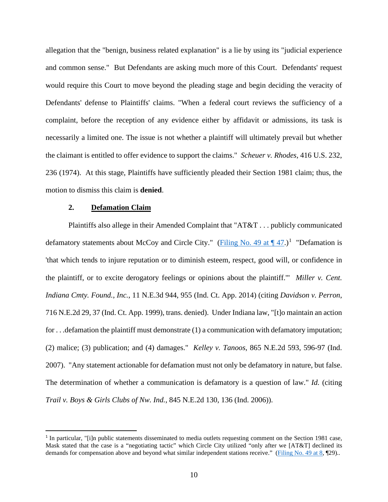allegation that the "benign, business related explanation" is a lie by using its "judicial experience and common sense." But Defendants are asking much more of this Court. Defendants' request would require this Court to move beyond the pleading stage and begin deciding the veracity of Defendants' defense to Plaintiffs' claims. "When a federal court reviews the sufficiency of a complaint, before the reception of any evidence either by affidavit or admissions, its task is necessarily a limited one. The issue is not whether a plaintiff will ultimately prevail but whether the claimant is entitled to offer evidence to support the claims." *Scheuer v. Rhodes*, 416 U.S. 232, 236 (1974). At this stage, Plaintiffs have sufficiently pleaded their Section 1981 claim; thus, the motion to dismiss this claim is **denied**.

### **2. Defamation Claim**

Plaintiffs also allege in their Amended Complaint that "AT&T . . . publicly communicated defamatory statements about McCoy and Circle City." (Filing No. 49 at  $\P$  47.)<sup>[1](#page-9-0)</sup> "Defamation is 'that which tends to injure reputation or to diminish esteem, respect, good will, or confidence in the plaintiff, or to excite derogatory feelings or opinions about the plaintiff.'" *Miller v. Cent. Indiana Cmty. Found., Inc.*, 11 N.E.3d 944, 955 (Ind. Ct. App. 2014) (citing *Davidson v. Perron*, 716 N.E.2d 29, 37 (Ind. Ct. App. 1999), trans. denied). Under Indiana law, "[t]o maintain an action for . . .defamation the plaintiff must demonstrate (1) a communication with defamatory imputation; (2) malice; (3) publication; and (4) damages." *Kelley v. Tanoos*, 865 N.E.2d 593, 596-97 (Ind. 2007). "Any statement actionable for defamation must not only be defamatory in nature, but false. The determination of whether a communication is defamatory is a question of law." *Id.* (citing *Trail v. Boys & Girls Clubs of Nw. Ind.*, 845 N.E.2d 130, 136 (Ind. 2006)).

<span id="page-9-0"></span><sup>1</sup> In particular, "[i]n public statements disseminated to media outlets requesting comment on the Section 1981 case, Mask stated that the case is a "negotiating tactic" which Circle City utilized "only after we [AT&T] declined its demands for compensation above and beyond what similar independent stations receive." [\(Filing No. 49 at 8,](https://ecf.insd.uscourts.gov/doc1/07318431707?page=8) ¶29)..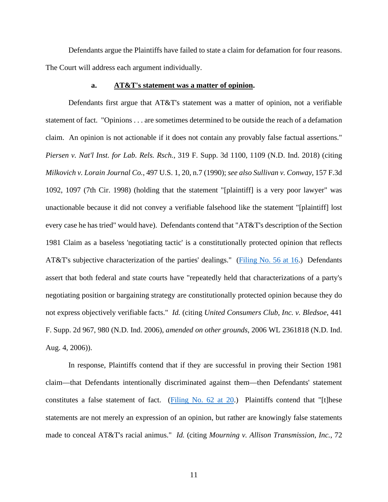Defendants argue the Plaintiffs have failed to state a claim for defamation for four reasons. The Court will address each argument individually.

## **a. AT&T's statement was a matter of opinion.**

Defendants first argue that AT&T's statement was a matter of opinion, not a verifiable statement of fact. "Opinions . . . are sometimes determined to be outside the reach of a defamation claim. An opinion is not actionable if it does not contain any provably false factual assertions." *Piersen v. Nat'l Inst. for Lab. Rels. Rsch.*, 319 F. Supp. 3d 1100, 1109 (N.D. Ind. 2018) (citing *Milkovich v. Lorain Journal Co.*, 497 U.S. 1, 20, n.7 (1990); *see also Sullivan v. Conway*, 157 F.3d 1092, 1097 (7th Cir. 1998) (holding that the statement "[plaintiff] is a very poor lawyer" was unactionable because it did not convey a verifiable falsehood like the statement "[plaintiff] lost every case he has tried" would have). Defendants contend that "AT&T's description of the Section 1981 Claim as a baseless 'negotiating tactic' is a constitutionally protected opinion that reflects AT&T's subjective characterization of the parties' dealings." [\(Filing No. 56 at 16.](https://ecf.insd.uscourts.gov/doc1/07318489948?page=16)) Defendants assert that both federal and state courts have "repeatedly held that characterizations of a party's negotiating position or bargaining strategy are constitutionally protected opinion because they do not express objectively verifiable facts." *Id.* (citing *United Consumers Club, Inc. v. Bledsoe*, 441 F. Supp. 2d 967, 980 (N.D. Ind. 2006), *amended on other grounds*, 2006 WL 2361818 (N.D. Ind. Aug. 4, 2006)).

In response, Plaintiffs contend that if they are successful in proving their Section 1981 claim—that Defendants intentionally discriminated against them—then Defendants' statement constitutes a false statement of fact. (Filing No.  $62$  at  $20$ .) Plaintiffs contend that "[t]hese statements are not merely an expression of an opinion, but rather are knowingly false statements made to conceal AT&T's racial animus." *Id.* (citing *Mourning v. Allison Transmission, Inc.*, 72

11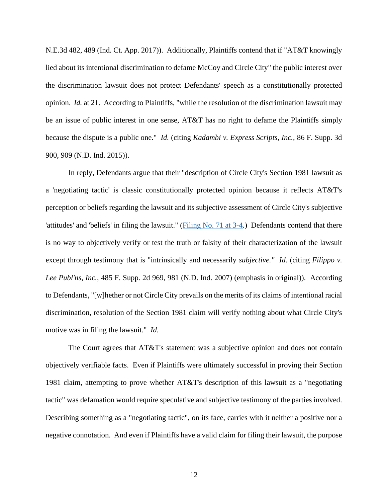N.E.3d 482, 489 (Ind. Ct. App. 2017)). Additionally, Plaintiffs contend that if "AT&T knowingly lied about its intentional discrimination to defame McCoy and Circle City" the public interest over the discrimination lawsuit does not protect Defendants' speech as a constitutionally protected opinion. *Id.* at 21. According to Plaintiffs, "while the resolution of the discrimination lawsuit may be an issue of public interest in one sense, AT&T has no right to defame the Plaintiffs simply because the dispute is a public one." *Id.* (citing *Kadambi v. Express Scripts, Inc.*, 86 F. Supp. 3d 900, 909 (N.D. Ind. 2015)).

In reply, Defendants argue that their "description of Circle City's Section 1981 lawsuit as a 'negotiating tactic' is classic constitutionally protected opinion because it reflects AT&T's perception or beliefs regarding the lawsuit and its subjective assessment of Circle City's subjective 'attitudes' and 'beliefs' in filing the lawsuit." [\(Filing No. 71 at 3-4.](https://ecf.insd.uscourts.gov/doc1/07318573593?page=3)) Defendants contend that there is no way to objectively verify or test the truth or falsity of their characterization of the lawsuit except through testimony that is "intrinsically and necessarily *subjective." Id.* (citing *Filippo v. Lee Publ'ns, Inc.*, 485 F. Supp. 2d 969, 981 (N.D. Ind. 2007) (emphasis in original)). According to Defendants, "[w]hether or not Circle City prevails on the merits of its claims of intentional racial discrimination, resolution of the Section 1981 claim will verify nothing about what Circle City's motive was in filing the lawsuit." *Id.*

The Court agrees that AT&T's statement was a subjective opinion and does not contain objectively verifiable facts. Even if Plaintiffs were ultimately successful in proving their Section 1981 claim, attempting to prove whether AT&T's description of this lawsuit as a "negotiating tactic" was defamation would require speculative and subjective testimony of the parties involved. Describing something as a "negotiating tactic", on its face, carries with it neither a positive nor a negative connotation. And even if Plaintiffs have a valid claim for filing their lawsuit, the purpose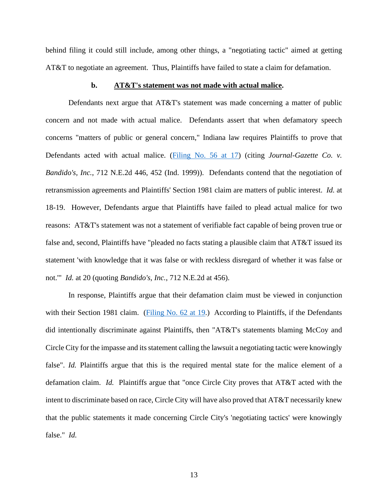behind filing it could still include, among other things, a "negotiating tactic" aimed at getting AT&T to negotiate an agreement. Thus, Plaintiffs have failed to state a claim for defamation.

## **b. AT&T's statement was not made with actual malice.**

Defendants next argue that AT&T's statement was made concerning a matter of public concern and not made with actual malice. Defendants assert that when defamatory speech concerns "matters of public or general concern," Indiana law requires Plaintiffs to prove that Defendants acted with actual malice. [\(Filing No. 56 at 17\)](https://ecf.insd.uscourts.gov/doc1/07318489948?page=17) (citing *Journal-Gazette Co. v. Bandido's, Inc.*, 712 N.E.2d 446, 452 (Ind. 1999)). Defendants contend that the negotiation of retransmission agreements and Plaintiffs' Section 1981 claim are matters of public interest. *Id.* at 18-19. However, Defendants argue that Plaintiffs have failed to plead actual malice for two reasons: AT&T's statement was not a statement of verifiable fact capable of being proven true or false and, second, Plaintiffs have "pleaded no facts stating a plausible claim that AT&T issued its statement 'with knowledge that it was false or with reckless disregard of whether it was false or not.'" *Id.* at 20 (quoting *Bandido's, Inc.*, 712 N.E.2d at 456).

In response, Plaintiffs argue that their defamation claim must be viewed in conjunction with their Section 1981 claim. [\(Filing No. 62 at 19.](https://ecf.insd.uscourts.gov/doc1/07318532544?page=19)) According to Plaintiffs, if the Defendants did intentionally discriminate against Plaintiffs, then "AT&T's statements blaming McCoy and Circle City for the impasse and its statement calling the lawsuit a negotiating tactic were knowingly false". *Id.* Plaintiffs argue that this is the required mental state for the malice element of a defamation claim. *Id.* Plaintiffs argue that "once Circle City proves that AT&T acted with the intent to discriminate based on race, Circle City will have also proved that AT&T necessarily knew that the public statements it made concerning Circle City's 'negotiating tactics' were knowingly false." *Id.*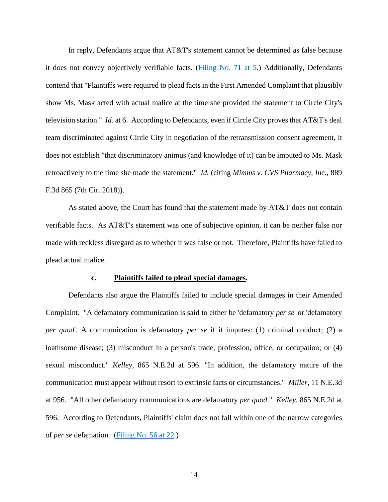In reply, Defendants argue that AT&T's statement cannot be determined as false because it does not convey objectively verifiable facts. [\(Filing No. 71 at 5.](https://ecf.insd.uscourts.gov/doc1/07318573593?page=5)) Additionally, Defendants contend that "Plaintiffs were required to plead facts in the First Amended Complaint that plausibly show Ms. Mask acted with actual malice at the time she provided the statement to Circle City's television station." *Id.* at 6. According to Defendants, even if Circle City proves that AT&T's deal team discriminated against Circle City in negotiation of the retransmission consent agreement, it does not establish "that discriminatory animus (and knowledge of it) can be imputed to Ms. Mask retroactively to the time she made the statement." *Id.* (citing *Mimms v. CVS Pharmacy, Inc.*, 889 F.3d 865 (7th Cir. 2018)).

As stated above, the Court has found that the statement made by AT&T does not contain verifiable facts. As AT&T's statement was one of subjective opinion, it can be neither false nor made with reckless disregard as to whether it was false or not. Therefore, Plaintiffs have failed to plead actual malice.

#### **c. Plaintiffs failed to plead special damages.**

Defendants also argue the Plaintiffs failed to include special damages in their Amended Complaint. "A defamatory communication is said to either be 'defamatory *per se*' or 'defamatory *per quod*'. A communication is defamatory *per se* if it imputes: (1) criminal conduct; (2) a loathsome disease; (3) misconduct in a person's trade, profession, office, or occupation; or (4) sexual misconduct." *Kelley*, 865 N.E.2d at 596. "In addition, the defamatory nature of the communication must appear without resort to extrinsic facts or circumstances." *Miller*, 11 N.E.3d at 956. "All other defamatory communications are defamatory *per quod*." *Kelley*, 865 N.E.2d at 596. According to Defendants, Plaintiffs' claim does not fall within one of the narrow categories of *per se* defamation. [\(Filing No. 56 at 22.](https://ecf.insd.uscourts.gov/doc1/07318489948?page=22))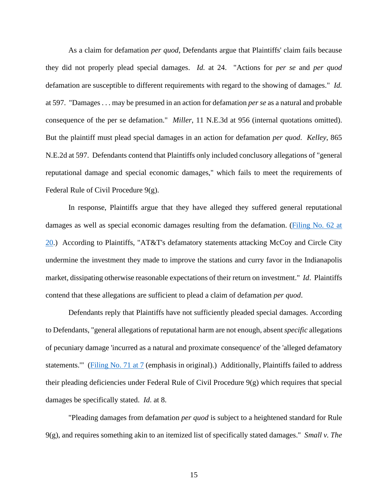As a claim for defamation *per quod*, Defendants argue that Plaintiffs' claim fails because they did not properly plead special damages. *Id.* at 24. "Actions for *per se* and *per quod* defamation are susceptible to different requirements with regard to the showing of damages." *Id.* at 597. "Damages . . . may be presumed in an action for defamation *per se* as a natural and probable consequence of the per se defamation." *Miller*, 11 N.E.3d at 956 (internal quotations omitted). But the plaintiff must plead special damages in an action for defamation *per quod*. *Kelley*, 865 N.E.2d at 597. Defendants contend that Plaintiffs only included conclusory allegations of "general reputational damage and special economic damages," which fails to meet the requirements of Federal Rule of Civil Procedure 9(g).

In response, Plaintiffs argue that they have alleged they suffered general reputational damages as well as special economic damages resulting from the defamation. (Filing No. 62 at [20.](https://ecf.insd.uscourts.gov/doc1/07318532544?page=20)) According to Plaintiffs, "AT&T's defamatory statements attacking McCoy and Circle City undermine the investment they made to improve the stations and curry favor in the Indianapolis market, dissipating otherwise reasonable expectations of their return on investment." *Id*. Plaintiffs contend that these allegations are sufficient to plead a claim of defamation *per quod*.

Defendants reply that Plaintiffs have not sufficiently pleaded special damages. According to Defendants, "general allegations of reputational harm are not enough, absent *specific* allegations of pecuniary damage 'incurred as a natural and proximate consequence' of the 'alleged defamatory statements." [\(Filing No. 71 at 7](https://ecf.insd.uscourts.gov/doc1/07318573593?page=7) (emphasis in original).) Additionally, Plaintiffs failed to address their pleading deficiencies under Federal Rule of Civil Procedure 9(g) which requires that special damages be specifically stated. *Id*. at 8.

"Pleading damages from defamation *per quod* is subject to a heightened standard for Rule 9(g), and requires something akin to an itemized list of specifically stated damages." *Small v. The*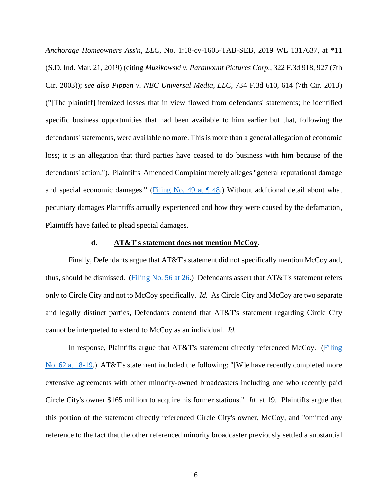*Anchorage Homeowners Ass'n, LLC*, No. 1:18-cv-1605-TAB-SEB, 2019 WL 1317637, at \*11 (S.D. Ind. Mar. 21, 2019) (citing *Muzikowski v. Paramount Pictures Corp.*, 322 F.3d 918, 927 (7th Cir. 2003)); *see also Pippen v. NBC Universal Media, LLC*, 734 F.3d 610, 614 (7th Cir. 2013) ("[The plaintiff] itemized losses that in view flowed from defendants' statements; he identified specific business opportunities that had been available to him earlier but that, following the defendants' statements, were available no more. This is more than a general allegation of economic loss; it is an allegation that third parties have ceased to do business with him because of the defendants' action."). Plaintiffs' Amended Complaint merely alleges "general reputational damage and special economic damages." (Filing No. 49 at  $\P$  48.) Without additional detail about what pecuniary damages Plaintiffs actually experienced and how they were caused by the defamation, Plaintiffs have failed to plead special damages.

## **d. AT&T's statement does not mention McCoy.**

Finally, Defendants argue that AT&T's statement did not specifically mention McCoy and, thus, should be dismissed. [\(Filing No. 56 at 26.](https://ecf.insd.uscourts.gov/doc1/07318489948?page=26)) Defendants assert that AT&T's statement refers only to Circle City and not to McCoy specifically. *Id.* As Circle City and McCoy are two separate and legally distinct parties, Defendants contend that AT&T's statement regarding Circle City cannot be interpreted to extend to McCoy as an individual. *Id.*

In response, Plaintiffs argue that AT&T's statement directly referenced McCoy. [\(Filing](https://ecf.insd.uscourts.gov/doc1/07318532544?page=18)  [No. 62 at 18-19.](https://ecf.insd.uscourts.gov/doc1/07318532544?page=18)) AT&T's statement included the following: "[W]e have recently completed more extensive agreements with other minority-owned broadcasters including one who recently paid Circle City's owner \$165 million to acquire his former stations." *Id.* at 19. Plaintiffs argue that this portion of the statement directly referenced Circle City's owner, McCoy, and "omitted any reference to the fact that the other referenced minority broadcaster previously settled a substantial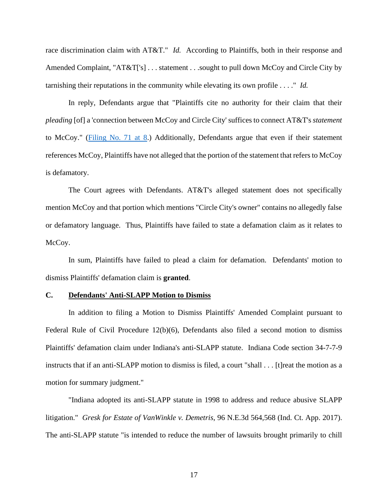race discrimination claim with AT&T." *Id.* According to Plaintiffs, both in their response and Amended Complaint, "AT&T['s] . . . statement . . . sought to pull down McCoy and Circle City by tarnishing their reputations in the community while elevating its own profile . . . ." *Id.*

In reply, Defendants argue that "Plaintiffs cite no authority for their claim that their *pleading* [of] a 'connection between McCoy and Circle City' suffices to connect AT&T's *statement*  to McCoy." [\(Filing No. 71 at 8.](https://ecf.insd.uscourts.gov/doc1/07318573593?page=8)) Additionally, Defendants argue that even if their statement references McCoy, Plaintiffs have not alleged that the portion of the statement that refers to McCoy is defamatory.

The Court agrees with Defendants. AT&T's alleged statement does not specifically mention McCoy and that portion which mentions "Circle City's owner" contains no allegedly false or defamatory language. Thus, Plaintiffs have failed to state a defamation claim as it relates to McCoy.

In sum, Plaintiffs have failed to plead a claim for defamation. Defendants' motion to dismiss Plaintiffs' defamation claim is **granted**.

## **C. Defendants' Anti-SLAPP Motion to Dismiss**

In addition to filing a Motion to Dismiss Plaintiffs' Amended Complaint pursuant to Federal Rule of Civil Procedure 12(b)(6), Defendants also filed a second motion to dismiss Plaintiffs' defamation claim under Indiana's anti-SLAPP statute. Indiana Code section 34-7-7-9 instructs that if an anti-SLAPP motion to dismiss is filed, a court "shall . . . [t]reat the motion as a motion for summary judgment."

"Indiana adopted its anti-SLAPP statute in 1998 to address and reduce abusive SLAPP litigation." *Gresk for Estate of VanWinkle v. Demetris*, 96 N.E.3d 564,568 (Ind. Ct. App. 2017). The anti-SLAPP statute "is intended to reduce the number of lawsuits brought primarily to chill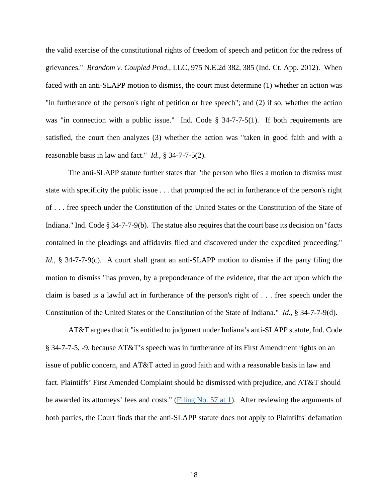the valid exercise of the constitutional rights of freedom of speech and petition for the redress of grievances." *Brandom v. Coupled Prod.,* LLC, 975 N.E.2d 382, 385 (Ind. Ct. App. 2012). When faced with an anti-SLAPP motion to dismiss, the court must determine (1) whether an action was "in furtherance of the person's right of petition or free speech"; and (2) if so, whether the action was "in connection with a public issue." Ind. Code § 34-7-7-5(1). If both requirements are satisfied, the court then analyzes (3) whether the action was "taken in good faith and with a reasonable basis in law and fact." *Id.*, § 34-7-7-5(2).

The anti-SLAPP statute further states that "the person who files a motion to dismiss must state with specificity the public issue . . . that prompted the act in furtherance of the person's right of . . . free speech under the Constitution of the United States or the Constitution of the State of Indiana." Ind. Code § 34-7-7-9(b). The statue also requires that the court base its decision on "facts contained in the pleadings and affidavits filed and discovered under the expedited proceeding." *Id.*, § 34-7-7-9(c). A court shall grant an anti-SLAPP motion to dismiss if the party filing the motion to dismiss "has proven, by a preponderance of the evidence, that the act upon which the claim is based is a lawful act in furtherance of the person's right of . . . free speech under the Constitution of the United States or the Constitution of the State of Indiana." *Id.*, § 34-7-7-9(d).

AT&T argues that it "is entitled to judgment under Indiana's anti-SLAPP statute, Ind. Code § 34-7-7-5, -9, because AT&T's speech was in furtherance of its First Amendment rights on an issue of public concern, and AT&T acted in good faith and with a reasonable basis in law and fact. Plaintiffs' First Amended Complaint should be dismissed with prejudice, and AT&T should be awarded its attorneys' fees and costs." [\(Filing No. 57 at 1\)](https://ecf.insd.uscourts.gov/doc1/07318490205?page=1). After reviewing the arguments of both parties, the Court finds that the anti-SLAPP statute does not apply to Plaintiffs' defamation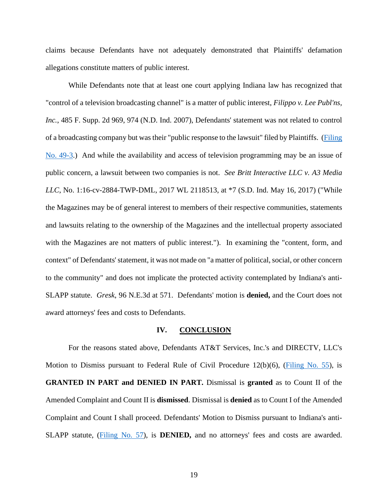claims because Defendants have not adequately demonstrated that Plaintiffs' defamation allegations constitute matters of public interest.

While Defendants note that at least one court applying Indiana law has recognized that "control of a television broadcasting channel" is a matter of public interest, *Filippo v. Lee Publ'ns, Inc.*, 485 F. Supp. 2d 969, 974 (N.D. Ind. 2007), Defendants' statement was not related to control of a broadcasting company but was their "public response to the lawsuit" filed by Plaintiffs. [\(Filing](https://ecf.insd.uscourts.gov/doc1/07318431710)  [No. 49-3.](https://ecf.insd.uscourts.gov/doc1/07318431710)) And while the availability and access of television programming may be an issue of public concern, a lawsuit between two companies is not. *See Britt Interactive LLC v. A3 Media LLC*, No. 1:16-cv-2884-TWP-DML, 2017 WL 2118513, at \*7 (S.D. Ind. May 16, 2017) ("While the Magazines may be of general interest to members of their respective communities, statements and lawsuits relating to the ownership of the Magazines and the intellectual property associated with the Magazines are not matters of public interest."). In examining the "content, form, and context" of Defendants' statement, it was not made on "a matter of political, social, or other concern to the community" and does not implicate the protected activity contemplated by Indiana's anti-SLAPP statute. *Gresk*, 96 N.E.3d at 571. Defendants' motion is **denied,** and the Court does not award attorneys' fees and costs to Defendants.

## **IV. CONCLUSION**

For the reasons stated above, Defendants AT&T Services, Inc.'s and DIRECTV, LLC's Motion to Dismiss pursuant to Federal Rule of Civil Procedure 12(b)(6), [\(Filing No. 55\)](https://ecf.insd.uscourts.gov/doc1/07318489936), is **GRANTED IN PART and DENIED IN PART.** Dismissal is **granted** as to Count II of the Amended Complaint and Count II is **dismissed**. Dismissal is **denied** as to Count I of the Amended Complaint and Count I shall proceed. Defendants' Motion to Dismiss pursuant to Indiana's anti-SLAPP statute, [\(Filing No. 57\)](https://ecf.insd.uscourts.gov/doc1/07318490205), is **DENIED,** and no attorneys' fees and costs are awarded.